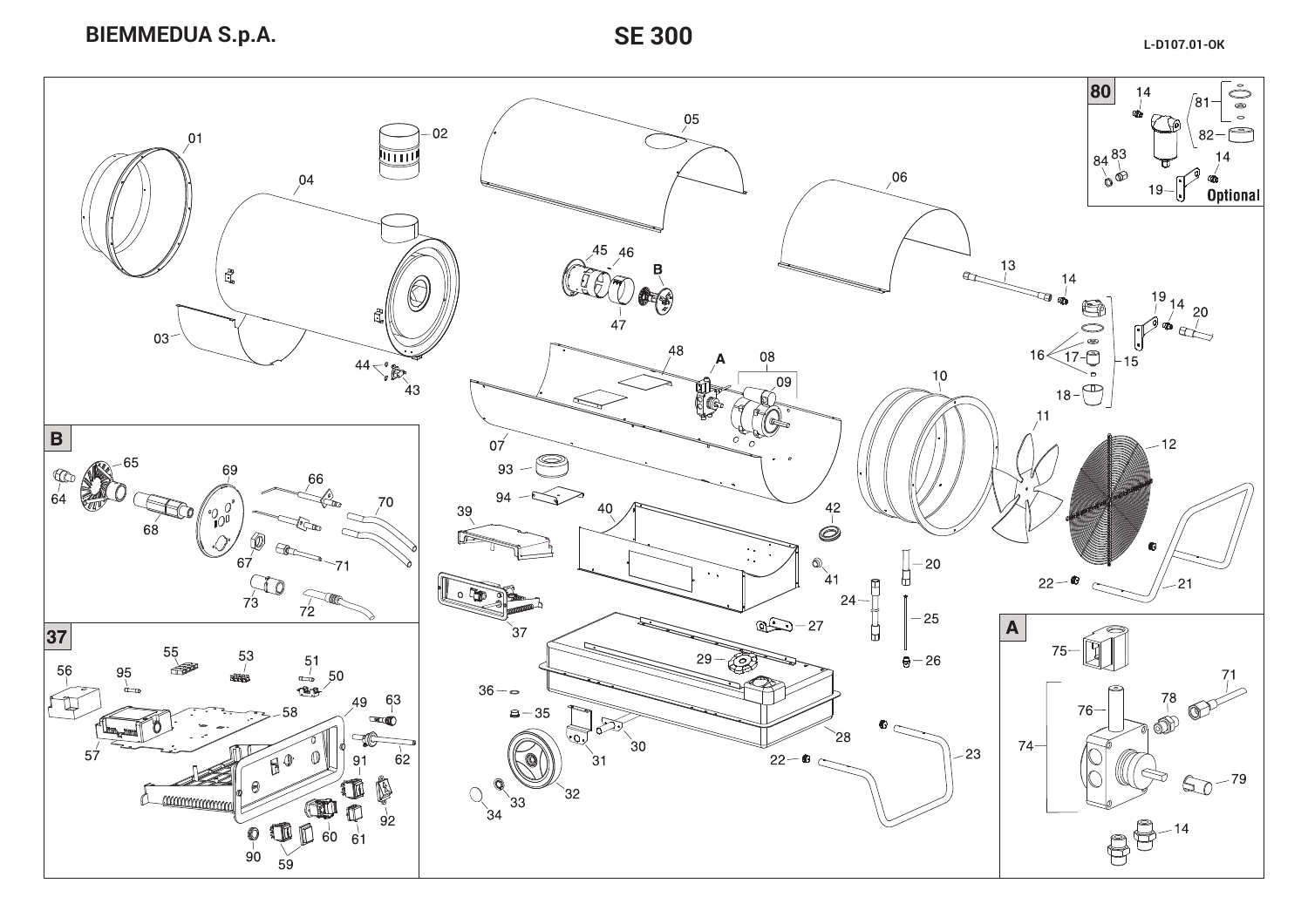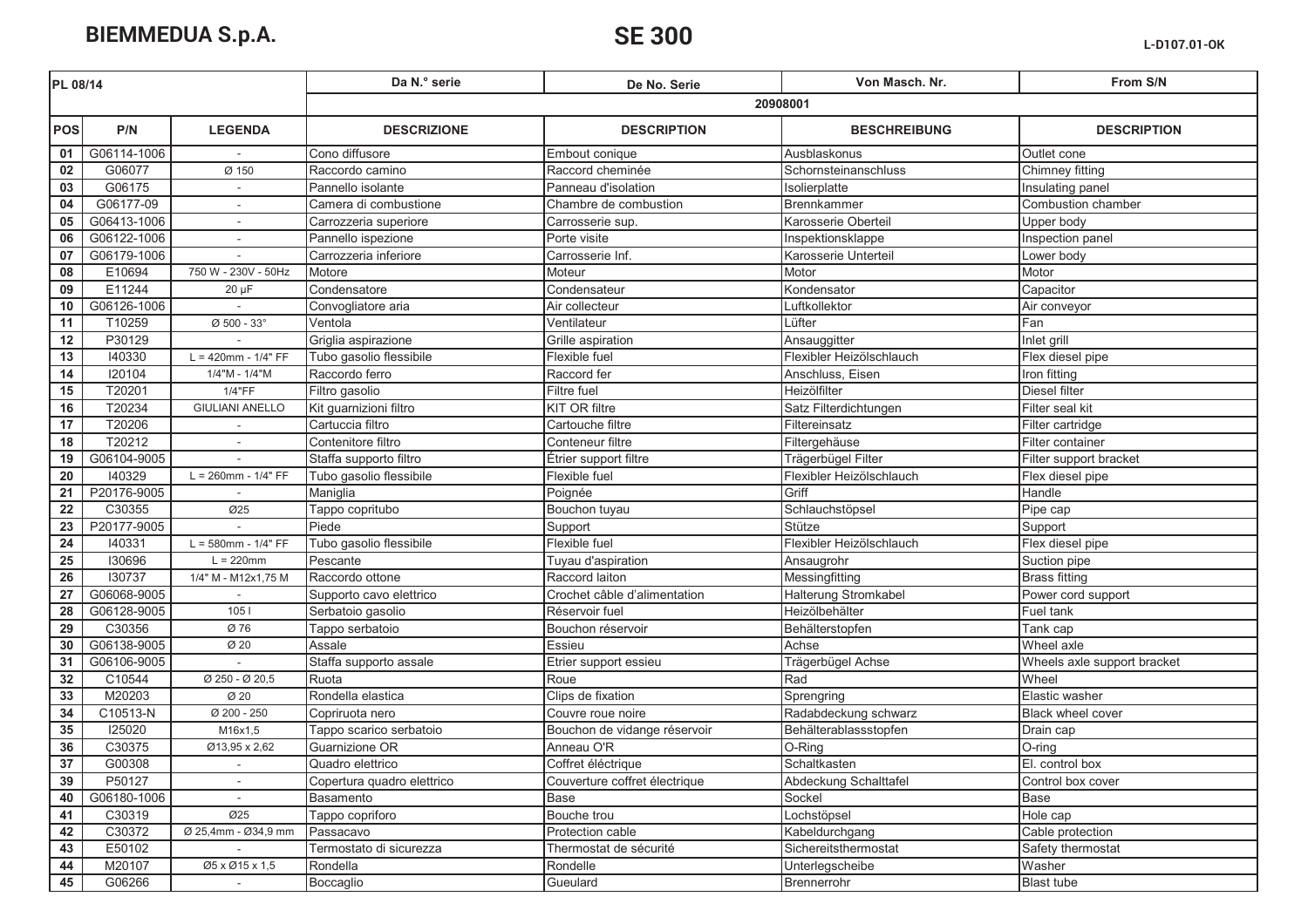| 20908001<br><b>POS</b><br>P/N<br><b>LEGENDA</b><br><b>DESCRIPTION</b><br><b>DESCRIZIONE</b><br><b>BESCHREIBUNG</b><br>G06114-1006<br>Cono diffusore<br>Ausblaskonus<br>Outlet cone<br>01<br>Embout conique<br>Chimney fitting<br>02<br>G06077<br>Ø 150<br>Raccord cheminée<br>Schornsteinanschluss<br>Raccordo camino<br>$\overline{03}$<br>G06175<br>Pannello isolante<br>Panneau d'isolation<br>Insulating panel<br>Isolierplatte<br>04<br>G06177-09<br>Camera di combustione<br>Chambre de combustion<br><b>Brennkammer</b><br>G06413-1006<br>05<br>Karosserie Oberteil<br>Upper body<br>Carrozzeria superiore<br>Carrosserie sup.<br>06<br>G06122-1006<br>Pannello ispezione<br>Porte visite<br>Inspektionsklappe<br>G06179-1006<br>Karosserie Unterteil<br>Lower body<br>07<br>Carrozzeria inferiore<br>Carrosserie Inf.<br>08<br>Motor<br>E10694<br>Motore<br>Moteur<br>750 W - 230V - 50Hz<br>Motor<br>09<br>E11244<br>Condensatore<br>Condensateur<br>Kondensator<br>Capacitor<br>$20 \mu F$<br>10<br>G06126-1006<br>Convogliatore aria<br>Air collecteur<br>Luftkollektor<br>Air conveyor<br>11<br>T10259<br>$Ø 500 - 33°$<br>Ventola<br>Ventilateur<br>Lüfter<br>Fan<br>P30129<br>12<br>Griglia aspirazione<br>Inlet grill<br>Grille aspiration<br>Ansauggitter | From S/N                    |  |  |  |  |
|---------------------------------------------------------------------------------------------------------------------------------------------------------------------------------------------------------------------------------------------------------------------------------------------------------------------------------------------------------------------------------------------------------------------------------------------------------------------------------------------------------------------------------------------------------------------------------------------------------------------------------------------------------------------------------------------------------------------------------------------------------------------------------------------------------------------------------------------------------------------------------------------------------------------------------------------------------------------------------------------------------------------------------------------------------------------------------------------------------------------------------------------------------------------------------------------------------------------------------------------------------------------------|-----------------------------|--|--|--|--|
|                                                                                                                                                                                                                                                                                                                                                                                                                                                                                                                                                                                                                                                                                                                                                                                                                                                                                                                                                                                                                                                                                                                                                                                                                                                                           |                             |  |  |  |  |
|                                                                                                                                                                                                                                                                                                                                                                                                                                                                                                                                                                                                                                                                                                                                                                                                                                                                                                                                                                                                                                                                                                                                                                                                                                                                           | <b>DESCRIPTION</b>          |  |  |  |  |
|                                                                                                                                                                                                                                                                                                                                                                                                                                                                                                                                                                                                                                                                                                                                                                                                                                                                                                                                                                                                                                                                                                                                                                                                                                                                           |                             |  |  |  |  |
|                                                                                                                                                                                                                                                                                                                                                                                                                                                                                                                                                                                                                                                                                                                                                                                                                                                                                                                                                                                                                                                                                                                                                                                                                                                                           |                             |  |  |  |  |
|                                                                                                                                                                                                                                                                                                                                                                                                                                                                                                                                                                                                                                                                                                                                                                                                                                                                                                                                                                                                                                                                                                                                                                                                                                                                           |                             |  |  |  |  |
|                                                                                                                                                                                                                                                                                                                                                                                                                                                                                                                                                                                                                                                                                                                                                                                                                                                                                                                                                                                                                                                                                                                                                                                                                                                                           | Combustion chamber          |  |  |  |  |
|                                                                                                                                                                                                                                                                                                                                                                                                                                                                                                                                                                                                                                                                                                                                                                                                                                                                                                                                                                                                                                                                                                                                                                                                                                                                           |                             |  |  |  |  |
|                                                                                                                                                                                                                                                                                                                                                                                                                                                                                                                                                                                                                                                                                                                                                                                                                                                                                                                                                                                                                                                                                                                                                                                                                                                                           | Inspection panel            |  |  |  |  |
|                                                                                                                                                                                                                                                                                                                                                                                                                                                                                                                                                                                                                                                                                                                                                                                                                                                                                                                                                                                                                                                                                                                                                                                                                                                                           |                             |  |  |  |  |
|                                                                                                                                                                                                                                                                                                                                                                                                                                                                                                                                                                                                                                                                                                                                                                                                                                                                                                                                                                                                                                                                                                                                                                                                                                                                           |                             |  |  |  |  |
|                                                                                                                                                                                                                                                                                                                                                                                                                                                                                                                                                                                                                                                                                                                                                                                                                                                                                                                                                                                                                                                                                                                                                                                                                                                                           |                             |  |  |  |  |
|                                                                                                                                                                                                                                                                                                                                                                                                                                                                                                                                                                                                                                                                                                                                                                                                                                                                                                                                                                                                                                                                                                                                                                                                                                                                           |                             |  |  |  |  |
|                                                                                                                                                                                                                                                                                                                                                                                                                                                                                                                                                                                                                                                                                                                                                                                                                                                                                                                                                                                                                                                                                                                                                                                                                                                                           |                             |  |  |  |  |
|                                                                                                                                                                                                                                                                                                                                                                                                                                                                                                                                                                                                                                                                                                                                                                                                                                                                                                                                                                                                                                                                                                                                                                                                                                                                           |                             |  |  |  |  |
| 13<br>140330<br>$L = 420$ mm - $1/4" FF$<br>Tubo gasolio flessibile<br>Flexible fuel<br>Flexibler Heizölschlauch<br>Flex diesel pipe                                                                                                                                                                                                                                                                                                                                                                                                                                                                                                                                                                                                                                                                                                                                                                                                                                                                                                                                                                                                                                                                                                                                      |                             |  |  |  |  |
| $\overline{14}$<br>120104<br>1/4"M - 1/4"M<br>Raccordo ferro<br>Raccord fer<br>Anschluss, Eisen<br>Iron fitting                                                                                                                                                                                                                                                                                                                                                                                                                                                                                                                                                                                                                                                                                                                                                                                                                                                                                                                                                                                                                                                                                                                                                           |                             |  |  |  |  |
| 15<br>T20201<br>1/4"FF<br>Diesel filter<br>Filtro gasolio<br>Filtre fuel<br>Heizölfilter                                                                                                                                                                                                                                                                                                                                                                                                                                                                                                                                                                                                                                                                                                                                                                                                                                                                                                                                                                                                                                                                                                                                                                                  |                             |  |  |  |  |
| 16<br>T20234<br><b>KIT OR filtre</b><br>Filter seal kit<br><b>GIULIANI ANELLO</b><br>Kit guarnizioni filtro<br>Satz Filterdichtungen                                                                                                                                                                                                                                                                                                                                                                                                                                                                                                                                                                                                                                                                                                                                                                                                                                                                                                                                                                                                                                                                                                                                      |                             |  |  |  |  |
| $\overline{17}$<br>T20206<br>Cartuccia filtro<br>Cartouche filtre<br>Filter cartridge<br>Filtereinsatz                                                                                                                                                                                                                                                                                                                                                                                                                                                                                                                                                                                                                                                                                                                                                                                                                                                                                                                                                                                                                                                                                                                                                                    |                             |  |  |  |  |
| 18<br>T20212<br>Contenitore filtro<br>Conteneur filtre<br>Filtergehäuse<br>Filter container                                                                                                                                                                                                                                                                                                                                                                                                                                                                                                                                                                                                                                                                                                                                                                                                                                                                                                                                                                                                                                                                                                                                                                               |                             |  |  |  |  |
| 19<br>G06104-9005<br>Staffa supporto filtro<br>Étrier support filtre<br>Trägerbügel Filter                                                                                                                                                                                                                                                                                                                                                                                                                                                                                                                                                                                                                                                                                                                                                                                                                                                                                                                                                                                                                                                                                                                                                                                | Filter support bracket      |  |  |  |  |
| 20<br>$L = 260$ mm - $1/4" FF$<br>140329<br>Tubo gasolio flessibile<br>Flexible fuel<br>Flexibler Heizölschlauch<br>Flex diesel pipe                                                                                                                                                                                                                                                                                                                                                                                                                                                                                                                                                                                                                                                                                                                                                                                                                                                                                                                                                                                                                                                                                                                                      |                             |  |  |  |  |
| P20176-9005<br>21<br>Poignée<br>Griff<br>Handle<br>Maniglia                                                                                                                                                                                                                                                                                                                                                                                                                                                                                                                                                                                                                                                                                                                                                                                                                                                                                                                                                                                                                                                                                                                                                                                                               |                             |  |  |  |  |
| 22<br>Ø25<br>C30355<br>Schlauchstöpsel<br>Pipe cap<br>Tappo copritubo<br>Bouchon tuyau                                                                                                                                                                                                                                                                                                                                                                                                                                                                                                                                                                                                                                                                                                                                                                                                                                                                                                                                                                                                                                                                                                                                                                                    |                             |  |  |  |  |
| P20177-9005<br>23<br>Piede<br>Stütze<br>Support<br>Support                                                                                                                                                                                                                                                                                                                                                                                                                                                                                                                                                                                                                                                                                                                                                                                                                                                                                                                                                                                                                                                                                                                                                                                                                |                             |  |  |  |  |
| $\overline{24}$<br>140331<br>Tubo gasolio flessibile<br>Flexible fuel<br>Flexibler Heizölschlauch<br>Flex diesel pipe<br>$L = 580$ mm - $1/4" FF$                                                                                                                                                                                                                                                                                                                                                                                                                                                                                                                                                                                                                                                                                                                                                                                                                                                                                                                                                                                                                                                                                                                         |                             |  |  |  |  |
| 25<br>130696<br>$L = 220$ mm<br>Pescante<br>Suction pipe<br>Tuyau d'aspiration<br>Ansaugrohr                                                                                                                                                                                                                                                                                                                                                                                                                                                                                                                                                                                                                                                                                                                                                                                                                                                                                                                                                                                                                                                                                                                                                                              |                             |  |  |  |  |
| 26<br>130737<br><b>Brass fitting</b><br>1/4" M - M12x1,75 M<br>Raccordo ottone<br>Raccord laiton<br>Messingfitting                                                                                                                                                                                                                                                                                                                                                                                                                                                                                                                                                                                                                                                                                                                                                                                                                                                                                                                                                                                                                                                                                                                                                        |                             |  |  |  |  |
| 27<br>G06068-9005<br>Halterung Stromkabel<br>Crochet câble d'alimentation<br>Supporto cavo elettrico                                                                                                                                                                                                                                                                                                                                                                                                                                                                                                                                                                                                                                                                                                                                                                                                                                                                                                                                                                                                                                                                                                                                                                      | Power cord support          |  |  |  |  |
| 28<br>G06128-9005<br>1051<br>Heizölbehälter<br>Fuel tank<br>Serbatoio gasolio<br>Réservoir fuel                                                                                                                                                                                                                                                                                                                                                                                                                                                                                                                                                                                                                                                                                                                                                                                                                                                                                                                                                                                                                                                                                                                                                                           |                             |  |  |  |  |
| 29<br>C30356<br>Ø 76<br>Tappo serbatoio<br>Behälterstopfen<br>Tank cap<br>Bouchon réservoir                                                                                                                                                                                                                                                                                                                                                                                                                                                                                                                                                                                                                                                                                                                                                                                                                                                                                                                                                                                                                                                                                                                                                                               |                             |  |  |  |  |
| 30<br>G06138-9005<br>Assale<br>Achse<br>Wheel axle<br>Ø 20<br>Essieu                                                                                                                                                                                                                                                                                                                                                                                                                                                                                                                                                                                                                                                                                                                                                                                                                                                                                                                                                                                                                                                                                                                                                                                                      |                             |  |  |  |  |
| 31<br>G06106-9005<br>Staffa supporto assale<br>Trägerbügel Achse<br>Etrier support essieu                                                                                                                                                                                                                                                                                                                                                                                                                                                                                                                                                                                                                                                                                                                                                                                                                                                                                                                                                                                                                                                                                                                                                                                 | Wheels axle support bracket |  |  |  |  |
| 32<br>C10544<br>Ø 250 - Ø 20,5<br>Rad<br>Wheel<br>Ruota<br>Roue                                                                                                                                                                                                                                                                                                                                                                                                                                                                                                                                                                                                                                                                                                                                                                                                                                                                                                                                                                                                                                                                                                                                                                                                           |                             |  |  |  |  |
| 33<br>M20203<br>Ø 20<br>Rondella elastica<br>Clips de fixation<br>Elastic washer<br>Sprengring                                                                                                                                                                                                                                                                                                                                                                                                                                                                                                                                                                                                                                                                                                                                                                                                                                                                                                                                                                                                                                                                                                                                                                            |                             |  |  |  |  |
| 34<br>C10513-N<br>Ø 200 - 250<br>Radabdeckung schwarz<br>Copriruota nero<br>Couvre roue noire                                                                                                                                                                                                                                                                                                                                                                                                                                                                                                                                                                                                                                                                                                                                                                                                                                                                                                                                                                                                                                                                                                                                                                             | Black wheel cover           |  |  |  |  |
| 35<br>125020<br>M16x1,5<br>Bouchon de vidange réservoir<br>Behälterablassstopfen<br>Drain cap<br>Tappo scarico serbatoio                                                                                                                                                                                                                                                                                                                                                                                                                                                                                                                                                                                                                                                                                                                                                                                                                                                                                                                                                                                                                                                                                                                                                  |                             |  |  |  |  |
| 36<br>Anneau O'R<br>C30375<br>Guarnizione OR<br>O-Ring<br>O-ring<br>Ø13,95 x 2,62                                                                                                                                                                                                                                                                                                                                                                                                                                                                                                                                                                                                                                                                                                                                                                                                                                                                                                                                                                                                                                                                                                                                                                                         |                             |  |  |  |  |
| 37<br>El. control box<br>G00308<br>Coffret éléctrique<br>Schaltkasten<br>Quadro elettrico                                                                                                                                                                                                                                                                                                                                                                                                                                                                                                                                                                                                                                                                                                                                                                                                                                                                                                                                                                                                                                                                                                                                                                                 |                             |  |  |  |  |
| 39<br>P50127<br>Couverture coffret électrique<br>Abdeckung Schalttafel<br>Copertura quadro elettrico<br>$\sim$                                                                                                                                                                                                                                                                                                                                                                                                                                                                                                                                                                                                                                                                                                                                                                                                                                                                                                                                                                                                                                                                                                                                                            | Control box cover           |  |  |  |  |
| G06180-1006<br>Sockel<br>Base<br>40<br>Basamento<br>Base                                                                                                                                                                                                                                                                                                                                                                                                                                                                                                                                                                                                                                                                                                                                                                                                                                                                                                                                                                                                                                                                                                                                                                                                                  |                             |  |  |  |  |
| C30319<br>Ø25<br>41<br>Tappo copriforo<br>Bouche trou<br>Lochstöpsel<br>Hole cap                                                                                                                                                                                                                                                                                                                                                                                                                                                                                                                                                                                                                                                                                                                                                                                                                                                                                                                                                                                                                                                                                                                                                                                          |                             |  |  |  |  |
| 42<br>C30372<br>Ø 25,4mm - Ø34,9 mm<br>Passacavo<br>Protection cable<br>Kabeldurchgang                                                                                                                                                                                                                                                                                                                                                                                                                                                                                                                                                                                                                                                                                                                                                                                                                                                                                                                                                                                                                                                                                                                                                                                    | Cable protection            |  |  |  |  |
| 43<br>E50102<br>Termostato di sicurezza<br>Thermostat de sécurité<br>Sichereitsthermostat                                                                                                                                                                                                                                                                                                                                                                                                                                                                                                                                                                                                                                                                                                                                                                                                                                                                                                                                                                                                                                                                                                                                                                                 | Safety thermostat           |  |  |  |  |
| 44<br>M20107<br>Washer<br>Ø5 x Ø15 x 1,5<br>Rondella<br>Rondelle<br>Unterlegscheibe                                                                                                                                                                                                                                                                                                                                                                                                                                                                                                                                                                                                                                                                                                                                                                                                                                                                                                                                                                                                                                                                                                                                                                                       |                             |  |  |  |  |
| 45<br><b>Blast tube</b><br>G06266<br>Boccaglio<br>Gueulard<br>Brennerrohr<br>$\sim$                                                                                                                                                                                                                                                                                                                                                                                                                                                                                                                                                                                                                                                                                                                                                                                                                                                                                                                                                                                                                                                                                                                                                                                       |                             |  |  |  |  |